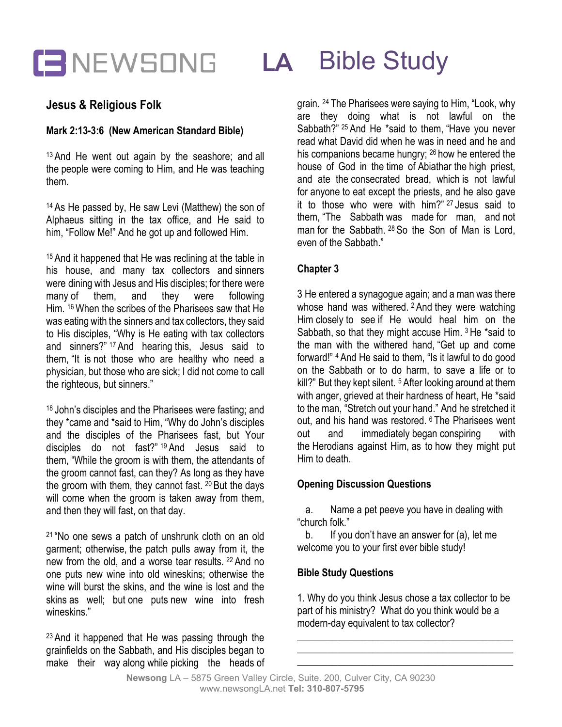

## **Jesus & Religious Folk**

#### **Mark 2:13-3:6 (New American Standard Bible)**

<sup>13</sup> And He went out again by the seashore; and all the people were coming to Him, and He was teaching them.

<sup>14</sup> As He passed by, He saw Levi (Matthew) the son of Alphaeus sitting in the tax office, and He said to him, "Follow Me!" And he got up and followed Him.

<sup>15</sup> And it happened that He was reclining at the table in his house, and many tax collectors and sinners were dining with Jesus and His disciples; for there were many of them, and they were following Him. <sup>16</sup> When the scribes of the Pharisees saw that He was eating with the sinners and tax collectors, they said to His disciples, "Why is He eating with tax collectors and sinners?" <sup>17</sup> And hearing this, Jesus said to them, "It is not those who are healthy who need a physician, but those who are sick; I did not come to call the righteous, but sinners."

<sup>18</sup> John's disciples and the Pharisees were fasting; and they \*came and \*said to Him, "Why do John's disciples and the disciples of the Pharisees fast, but Your disciples do not fast?" <sup>19</sup> And Jesus said to them, "While the groom is with them, the attendants of the groom cannot fast, can they? As long as they have the groom with them, they cannot fast. <sup>20</sup> But the days will come when the groom is taken away from them, and then they will fast, on that day.

<sup>21</sup> "No one sews a patch of unshrunk cloth on an old garment; otherwise, the patch pulls away from it, the new from the old, and a worse tear results. <sup>22</sup> And no one puts new wine into old wineskins; otherwise the wine will burst the skins, and the wine is lost and the skins as well; but one puts new wine into fresh wineskins."

<sup>23</sup> And it happened that He was passing through the grainfields on the Sabbath, and His disciples began to make their way along while picking the heads of

grain. <sup>24</sup> The Pharisees were saying to Him, "Look, why are they doing what is not lawful on the Sabbath?" <sup>25</sup> And He \*said to them, "Have you never read what David did when he was in need and he and his companions became hungry; <sup>26</sup> how he entered the house of God in the time of Abiathar the high priest, and ate the consecrated bread, which is not lawful for anyone to eat except the priests, and he also gave it to those who were with him?" <sup>27</sup> Jesus said to them, "The Sabbath was made for man, and not man for the Sabbath. <sup>28</sup> So the Son of Man is Lord, even of the Sabbath."

### **Chapter 3**

3 He entered a synagogue again; and a man was there whose hand was withered. <sup>2</sup> And they were watching Him closely to see if He would heal him on the Sabbath, so that they might accuse Him. <sup>3</sup> He \*said to the man with the withered hand, "Get up and come forward!" <sup>4</sup> And He said to them, "Is it lawful to do good on the Sabbath or to do harm, to save a life or to kill?" But they kept silent. <sup>5</sup> After looking around at them with anger, grieved at their hardness of heart, He \*said to the man, "Stretch out your hand." And he stretched it out, and his hand was restored. <sup>6</sup> The Pharisees went out and immediately began conspiring with the Herodians against Him, as to how they might put Him to death.

#### **Opening Discussion Questions**

a. Name a pet peeve you have in dealing with "church folk."

b. If you don't have an answer for (a), let me welcome you to your first ever bible study!

#### **Bible Study Questions**

1. Why do you think Jesus chose a tax collector to be part of his ministry? What do you think would be a modern-day equivalent to tax collector?

\_\_\_\_\_\_\_\_\_\_\_\_\_\_\_\_\_\_\_\_\_\_\_\_\_\_\_\_\_\_\_\_\_\_\_\_\_\_\_\_\_\_\_ \_\_\_\_\_\_\_\_\_\_\_\_\_\_\_\_\_\_\_\_\_\_\_\_\_\_\_\_\_\_\_\_\_\_\_\_\_\_\_\_\_\_\_ \_\_\_\_\_\_\_\_\_\_\_\_\_\_\_\_\_\_\_\_\_\_\_\_\_\_\_\_\_\_\_\_\_\_\_\_\_\_\_\_\_\_\_